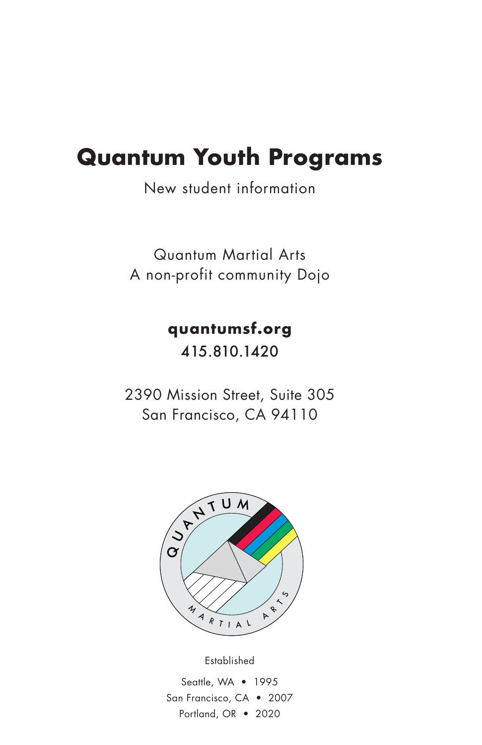### **Quantum Youth Programs**

New student information

Quantum Martial Arts A non-profit community Dojo

> **quantumsf.org** 415.810.1420

2390 Mission Street, Suite 305 San Francisco, CA 94110



Established Seattle, WA • 1995 San Francisco, CA • 2007 Portland, OR • 2020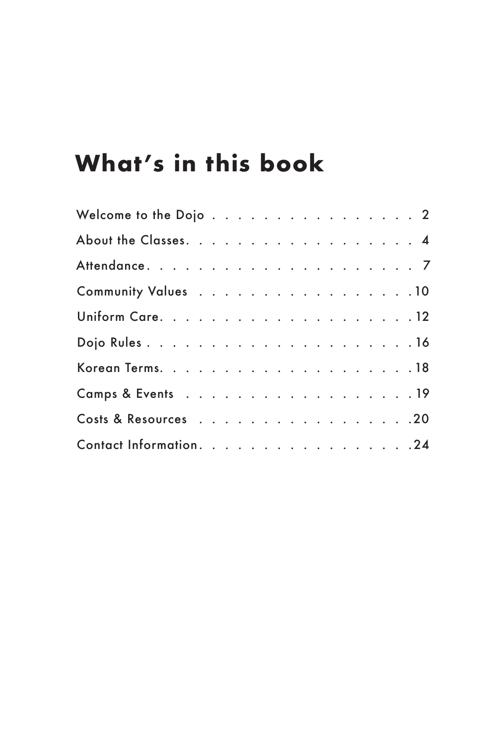# **What's in this book**

| Community Values 10     |  |  |  |  |  |  |  |  |  |
|-------------------------|--|--|--|--|--|--|--|--|--|
|                         |  |  |  |  |  |  |  |  |  |
|                         |  |  |  |  |  |  |  |  |  |
|                         |  |  |  |  |  |  |  |  |  |
| Camps & Events 19       |  |  |  |  |  |  |  |  |  |
| Costs & Resources 20    |  |  |  |  |  |  |  |  |  |
| Contact Information. 24 |  |  |  |  |  |  |  |  |  |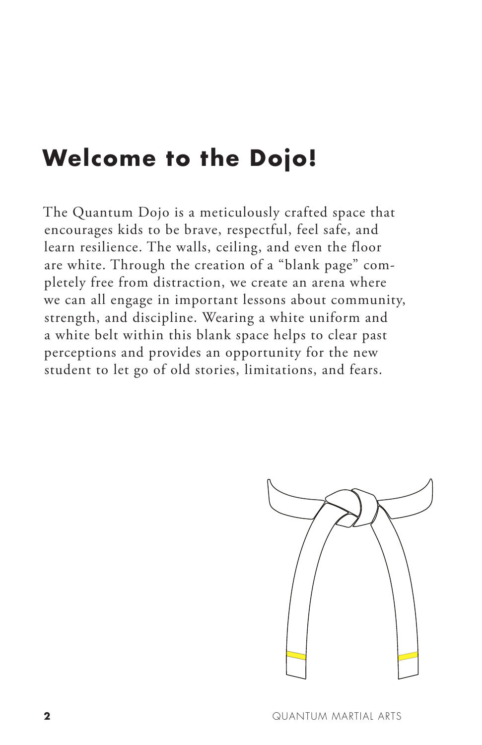### **Welcome to the Dojo!**

The Quantum Dojo is a meticulously crafted space that encourages kids to be brave, respectful, feel safe, and learn resilience. The walls, ceiling, and even the floor are white. Through the creation of a "blank page" completely free from distraction, we create an arena where we can all engage in important lessons about community, strength, and discipline. Wearing a white uniform and a white belt within this blank space helps to clear past perceptions and provides an opportunity for the new student to let go of old stories, limitations, and fears.

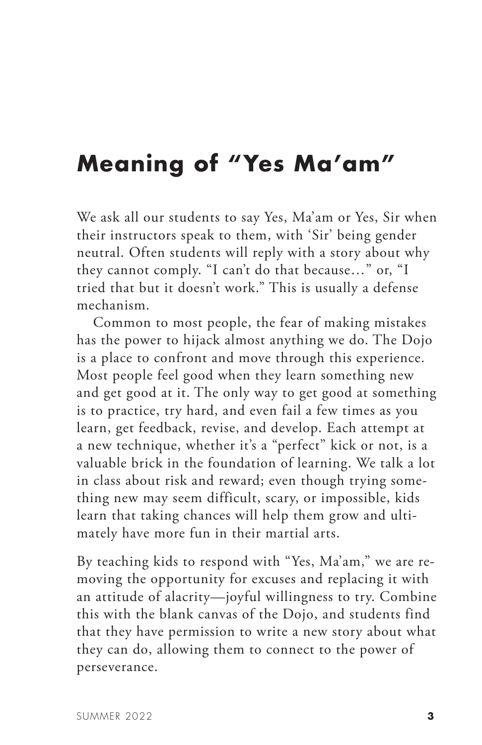### **Meaning of "Yes Ma'am"**

We ask all our students to say Yes, Ma'am or Yes, Sir when their instructors speak to them, with 'Sir' being gender neutral. Often students will reply with a story about why they cannot comply. "I can't do that because…" or, "I tried that but it doesn't work." This is usually a defense mechanism.

Common to most people, the fear of making mistakes has the power to hijack almost anything we do. The Dojo is a place to confront and move through this experience. Most people feel good when they learn something new and get good at it. The only way to get good at something is to practice, try hard, and even fail a few times as you learn, get feedback, revise, and develop. Each attempt at a new technique, whether it's a "perfect" kick or not, is a valuable brick in the foundation of learning. We talk a lot in class about risk and reward; even though trying something new may seem difficult, scary, or impossible, kids learn that taking chances will help them grow and ultimately have more fun in their martial arts.

By teaching kids to respond with "Yes, Ma'am," we are removing the opportunity for excuses and replacing it with an attitude of alacrity—joyful willingness to try. Combine this with the blank canvas of the Dojo, and students find that they have permission to write a new story about what they can do, allowing them to connect to the power of perseverance.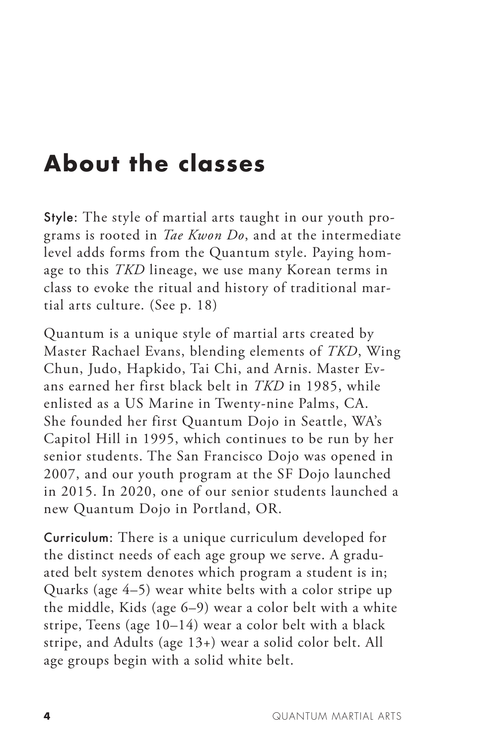## **About the classes**

Style: The style of martial arts taught in our youth programs is rooted in *Tae Kwon Do*, and at the intermediate level adds forms from the Quantum style. Paying homage to this *TKD* lineage, we use many Korean terms in class to evoke the ritual and history of traditional martial arts culture. (See p. 18)

Quantum is a unique style of martial arts created by Master Rachael Evans, blending elements of *TKD*, Wing Chun, Judo, Hapkido, Tai Chi, and Arnis. Master Evans earned her first black belt in *TKD* in 1985, while enlisted as a US Marine in Twenty-nine Palms, CA. She founded her first Quantum Dojo in Seattle, WA's Capitol Hill in 1995, which continues to be run by her senior students. The San Francisco Dojo was opened in 2007, and our youth program at the SF Dojo launched in 2015. In 2020, one of our senior students launched a new Quantum Dojo in Portland, OR.

Curriculum: There is a unique curriculum developed for the distinct needs of each age group we serve. A graduated belt system denotes which program a student is in; Quarks (age 4–5) wear white belts with a color stripe up the middle, Kids (age 6–9) wear a color belt with a white stripe, Teens (age 10–14) wear a color belt with a black stripe, and Adults (age 13+) wear a solid color belt. All age groups begin with a solid white belt.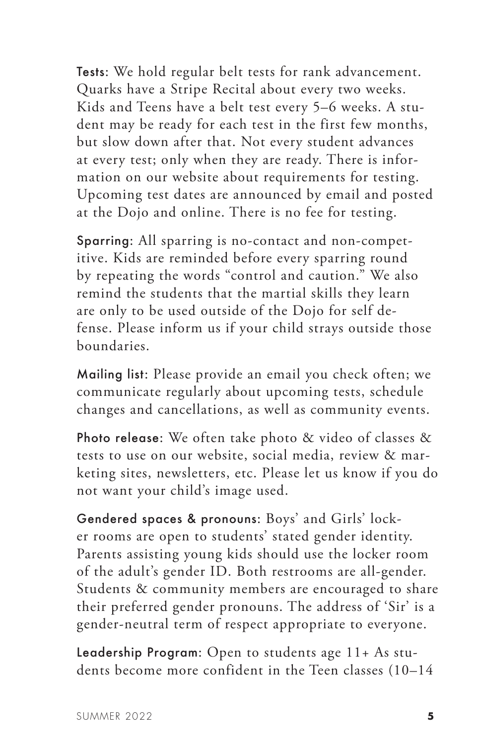Tests: We hold regular belt tests for rank advancement. Quarks have a Stripe Recital about every two weeks. Kids and Teens have a belt test every 5–6 weeks. A student may be ready for each test in the first few months, but slow down after that. Not every student advances at every test; only when they are ready. There is information on our website about requirements for testing. Upcoming test dates are announced by email and posted at the Dojo and online. There is no fee for testing.

Sparring: All sparring is no-contact and non-competitive. Kids are reminded before every sparring round by repeating the words "control and caution." We also remind the students that the martial skills they learn are only to be used outside of the Dojo for self defense. Please inform us if your child strays outside those boundaries.

Mailing list: Please provide an email you check often; we communicate regularly about upcoming tests, schedule changes and cancellations, as well as community events.

Photo release: We often take photo & video of classes & tests to use on our website, social media, review & marketing sites, newsletters, etc. Please let us know if you do not want your child's image used.

Gendered spaces & pronouns: Boys' and Girls' locker rooms are open to students' stated gender identity. Parents assisting young kids should use the locker room of the adult's gender ID. Both restrooms are all-gender. Students & community members are encouraged to share their preferred gender pronouns. The address of 'Sir' is a gender-neutral term of respect appropriate to everyone.

Leadership Program: Open to students age 11+ As students become more confident in the Teen classes (10–14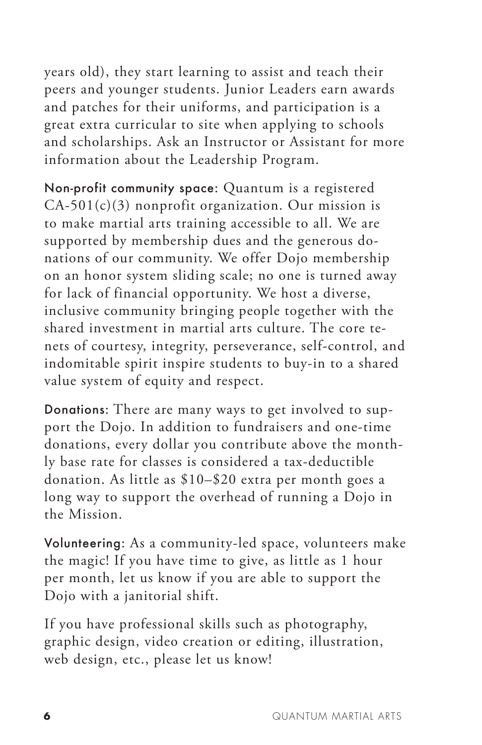years old), they start learning to assist and teach their peers and younger students. Junior Leaders earn awards and patches for their uniforms, and participation is a great extra curricular to site when applying to schools and scholarships. Ask an Instructor or Assistant for more information about the Leadership Program.

Non-profit community space: Quantum is a registered  $CA-501(c)(3)$  nonprofit organization. Our mission is to make martial arts training accessible to all. We are supported by membership dues and the generous donations of our community. We offer Dojo membership on an honor system sliding scale; no one is turned away for lack of financial opportunity. We host a diverse, inclusive community bringing people together with the shared investment in martial arts culture. The core tenets of courtesy, integrity, perseverance, self-control, and indomitable spirit inspire students to buy-in to a shared value system of equity and respect.

Donations: There are many ways to get involved to support the Dojo. In addition to fundraisers and one-time donations, every dollar you contribute above the monthly base rate for classes is considered a tax-deductible donation. As little as \$10–\$20 extra per month goes a long way to support the overhead of running a Dojo in the Mission.

Volunteering: As a community-led space, volunteers make the magic! If you have time to give, as little as 1 hour per month, let us know if you are able to support the Dojo with a janitorial shift.

If you have professional skills such as photography, graphic design, video creation or editing, illustration, web design, etc., please let us know!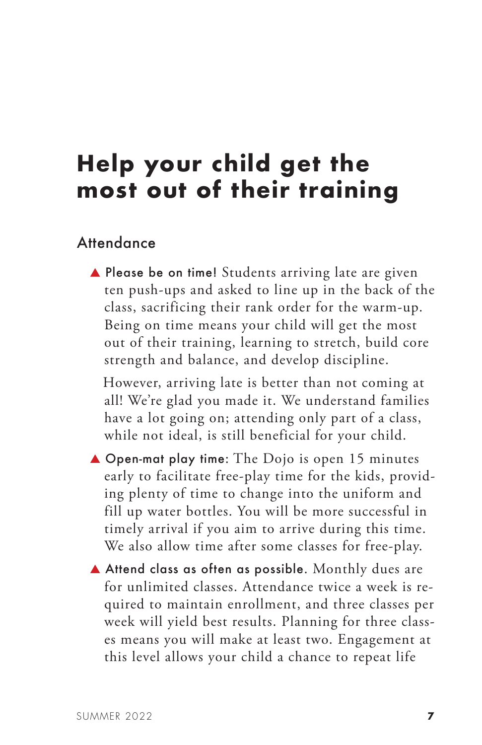### **Help your child get the most out of their training**

#### **Attendance**

▲ Please be on time! Students arriving late are given ten push-ups and asked to line up in the back of the class, sacrificing their rank order for the warm-up. Being on time means your child will get the most out of their training, learning to stretch, build core strength and balance, and develop discipline.

 However, arriving late is better than not coming at all! We're glad you made it. We understand families have a lot going on; attending only part of a class, while not ideal, is still beneficial for your child.

- ▲ Open-mat play time: The Dojo is open 15 minutes early to facilitate free-play time for the kids, providing plenty of time to change into the uniform and fill up water bottles. You will be more successful in timely arrival if you aim to arrive during this time. We also allow time after some classes for free-play.
- ▲ Attend class as often as possible.Monthly dues are for unlimited classes. Attendance twice a week is required to maintain enrollment, and three classes per week will yield best results. Planning for three classes means you will make at least two. Engagement at this level allows your child a chance to repeat life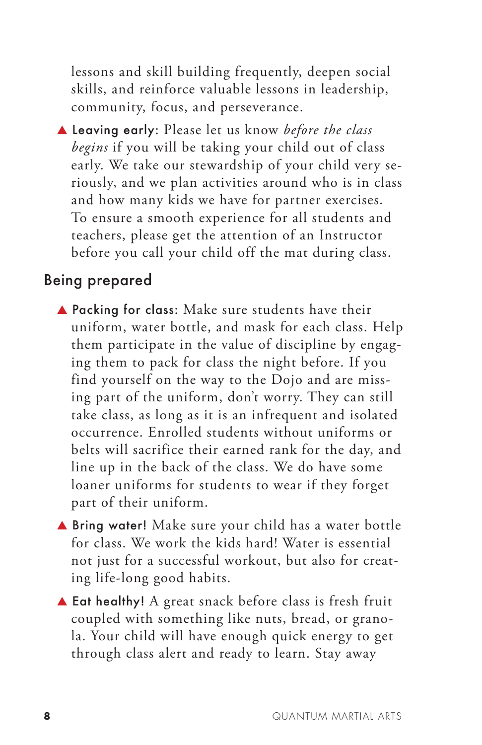lessons and skill building frequently, deepen social skills, and reinforce valuable lessons in leadership, community, focus, and perseverance.

▲ Leaving early: Please let us know *before the class begins* if you will be taking your child out of class early. We take our stewardship of your child very seriously, and we plan activities around who is in class and how many kids we have for partner exercises. To ensure a smooth experience for all students and teachers, please get the attention of an Instructor before you call your child off the mat during class.

#### Being prepared

- ▲ Packing for class: Make sure students have their uniform, water bottle, and mask for each class. Help them participate in the value of discipline by engaging them to pack for class the night before. If you find yourself on the way to the Dojo and are missing part of the uniform, don't worry. They can still take class, as long as it is an infrequent and isolated occurrence. Enrolled students without uniforms or belts will sacrifice their earned rank for the day, and line up in the back of the class. We do have some loaner uniforms for students to wear if they forget part of their uniform.
- ▲ Bring water! Make sure your child has a water bottle for class. We work the kids hard! Water is essential not just for a successful workout, but also for creating life-long good habits.
- ▲ Eat healthy! A great snack before class is fresh fruit coupled with something like nuts, bread, or granola. Your child will have enough quick energy to get through class alert and ready to learn. Stay away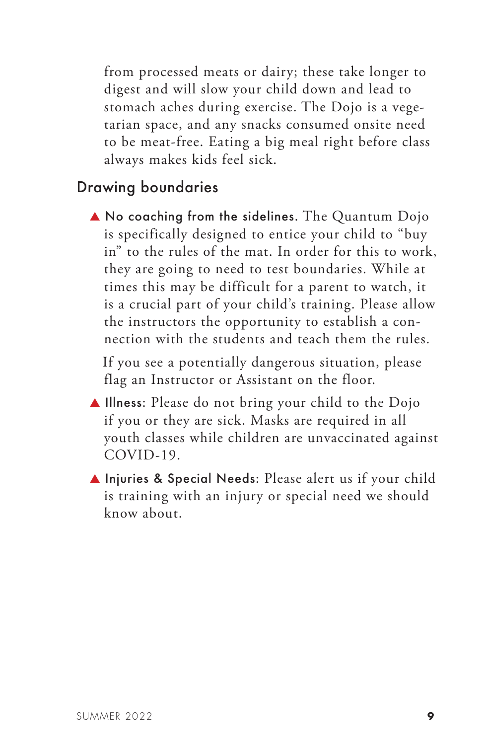from processed meats or dairy; these take longer to digest and will slow your child down and lead to stomach aches during exercise. The Dojo is a vegetarian space, and any snacks consumed onsite need to be meat-free. Eating a big meal right before class always makes kids feel sick.

#### Drawing boundaries

▲ No coaching from the sidelines. The Quantum Dojo is specifically designed to entice your child to "buy in" to the rules of the mat. In order for this to work, they are going to need to test boundaries. While at times this may be difficult for a parent to watch, it is a crucial part of your child's training. Please allow the instructors the opportunity to establish a connection with the students and teach them the rules.

 If you see a potentially dangerous situation, please flag an Instructor or Assistant on the floor.

- ▲ Illness: Please do not bring your child to the Dojo if you or they are sick. Masks are required in all youth classes while children are unvaccinated against COVID-19.
- ▲ Injuries & Special Needs: Please alert us if your child is training with an injury or special need we should know about.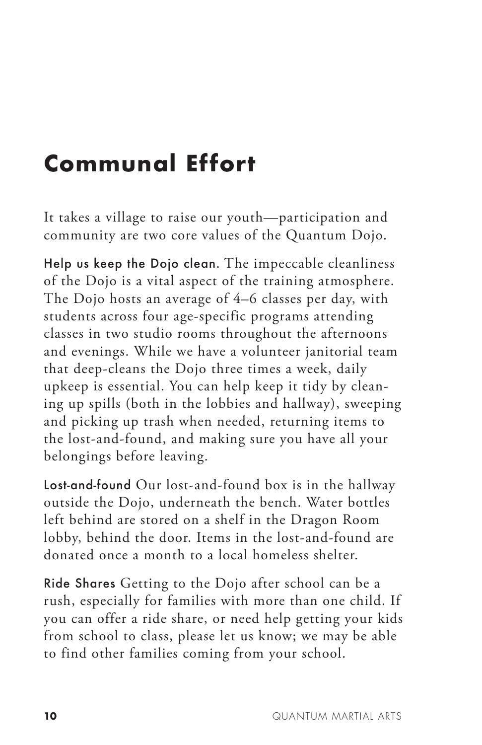# **Communal Effort**

It takes a village to raise our youth—participation and community are two core values of the Quantum Dojo.

Help us keep the Dojo clean. The impeccable cleanliness of the Dojo is a vital aspect of the training atmosphere. The Dojo hosts an average of 4–6 classes per day, with students across four age-specific programs attending classes in two studio rooms throughout the afternoons and evenings. While we have a volunteer janitorial team that deep-cleans the Dojo three times a week, daily upkeep is essential. You can help keep it tidy by cleaning up spills (both in the lobbies and hallway), sweeping and picking up trash when needed, returning items to the lost-and-found, and making sure you have all your belongings before leaving.

Lost-and-found Our lost-and-found box is in the hallway outside the Dojo, underneath the bench. Water bottles left behind are stored on a shelf in the Dragon Room lobby, behind the door. Items in the lost-and-found are donated once a month to a local homeless shelter.

Ride Shares Getting to the Dojo after school can be a rush, especially for families with more than one child. If you can offer a ride share, or need help getting your kids from school to class, please let us know; we may be able to find other families coming from your school.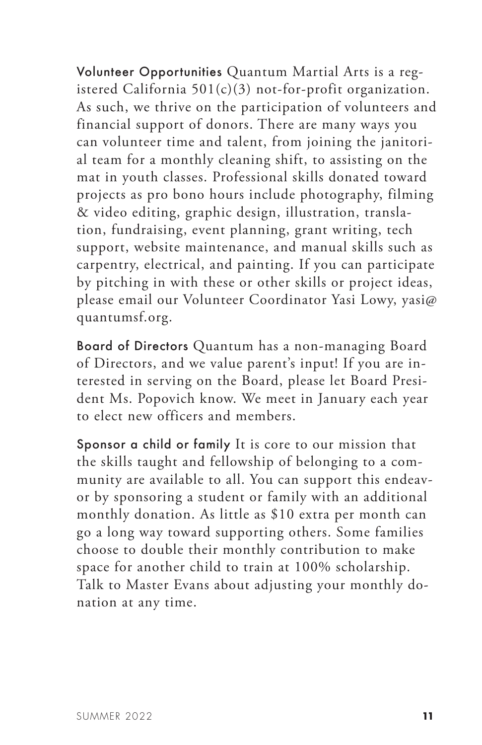Volunteer Opportunities Quantum Martial Arts is a registered California  $501(c)(3)$  not-for-profit organization. As such, we thrive on the participation of volunteers and financial support of donors. There are many ways you can volunteer time and talent, from joining the janitorial team for a monthly cleaning shift, to assisting on the mat in youth classes. Professional skills donated toward projects as pro bono hours include photography, filming & video editing, graphic design, illustration, translation, fundraising, event planning, grant writing, tech support, website maintenance, and manual skills such as carpentry, electrical, and painting. If you can participate by pitching in with these or other skills or project ideas, please email our Volunteer Coordinator Yasi Lowy, yasi@ quantumsf.org.

Board of Directors Quantum has a non-managing Board of Directors, and we value parent's input! If you are interested in serving on the Board, please let Board President Ms. Popovich know. We meet in January each year to elect new officers and members.

Sponsor a child or family It is core to our mission that the skills taught and fellowship of belonging to a community are available to all. You can support this endeavor by sponsoring a student or family with an additional monthly donation. As little as \$10 extra per month can go a long way toward supporting others. Some families choose to double their monthly contribution to make space for another child to train at 100% scholarship. Talk to Master Evans about adjusting your monthly donation at any time.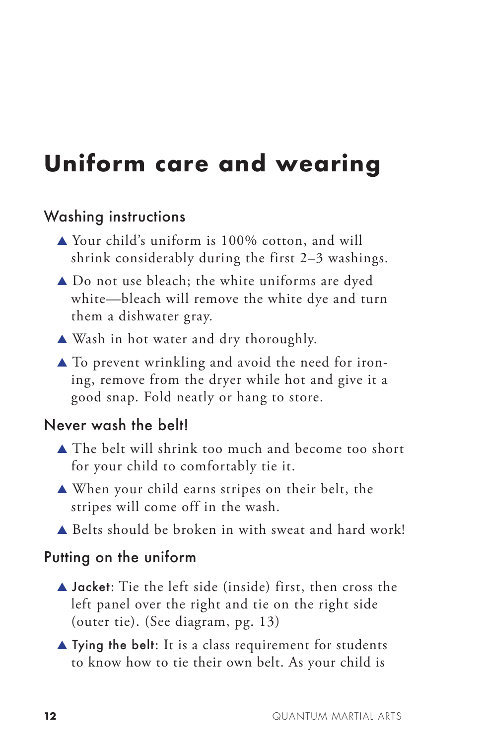# **Uniform care and wearing**

#### Washing instructions

- ▲ Your child's uniform is 100% cotton, and will shrink considerably during the first 2–3 washings.
- ▲ Do not use bleach; the white uniforms are dyed white—bleach will remove the white dye and turn them a dishwater gray.
- ▲ Wash in hot water and dry thoroughly.
- $\triangle$  To prevent wrinkling and avoid the need for ironing, remove from the dryer while hot and give it a good snap. Fold neatly or hang to store.

#### Never wash the belt!

- ▲ The belt will shrink too much and become too short for your child to comfortably tie it.
- ▲ When your child earns stripes on their belt, the stripes will come off in the wash.
- ▲ Belts should be broken in with sweat and hard work!

#### Putting on the uniform

- ▲ Jacket: Tie the left side (inside) first, then cross the left panel over the right and tie on the right side (outer tie). (See diagram, pg. 13)
- $\blacktriangle$  Tying the belt: It is a class requirement for students to know how to tie their own belt. As your child is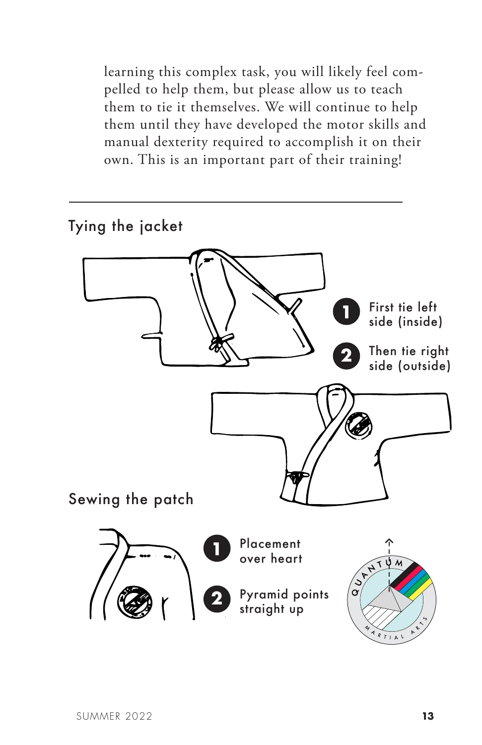learning this complex task, you will likely feel compelled to help them, but please allow us to teach them to tie it themselves. We will continue to help them until they have developed the motor skills and manual dexterity required to accomplish it on their own. This is an important part of their training!

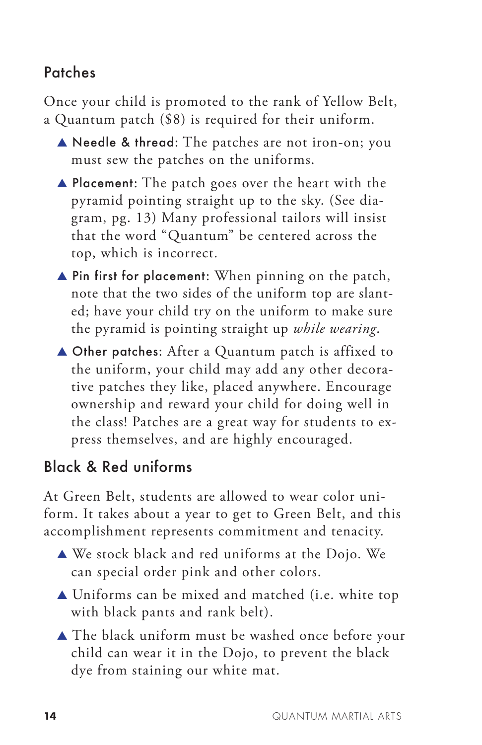#### Patches

Once your child is promoted to the rank of Yellow Belt, a Quantum patch (\$8) is required for their uniform.

- ▲ Needle & thread: The patches are not iron-on; you must sew the patches on the uniforms.
- ▲ Placement: The patch goes over the heart with the pyramid pointing straight up to the sky. (See diagram, pg. 13) Many professional tailors will insist that the word "Quantum" be centered across the top, which is incorrect.
- ▲ Pin first for placement: When pinning on the patch, note that the two sides of the uniform top are slanted; have your child try on the uniform to make sure the pyramid is pointing straight up *while wearing*.
- ▲ Other patches: After a Quantum patch is affixed to the uniform, your child may add any other decorative patches they like, placed anywhere. Encourage ownership and reward your child for doing well in the class! Patches are a great way for students to express themselves, and are highly encouraged.

### Black & Red uniforms

At Green Belt, students are allowed to wear color uniform. It takes about a year to get to Green Belt, and this accomplishment represents commitment and tenacity.

- ▲ We stock black and red uniforms at the Dojo. We can special order pink and other colors.
- ▲ Uniforms can be mixed and matched (i.e. white top with black pants and rank belt).
- ▲ The black uniform must be washed once before your child can wear it in the Dojo, to prevent the black dye from staining our white mat.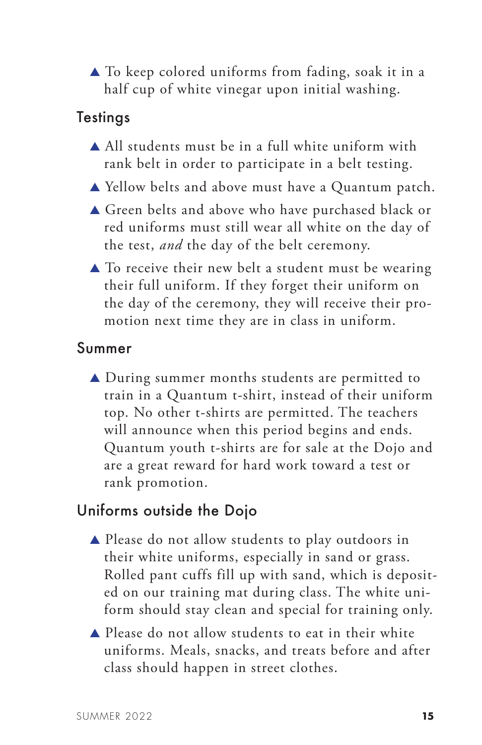▲ To keep colored uniforms from fading, soak it in a half cup of white vinegar upon initial washing.

#### **Testings**

- $\triangle$  All students must be in a full white uniform with rank belt in order to participate in a belt testing.
- ▲ Yellow belts and above must have a Quantum patch.
- ▲ Green belts and above who have purchased black or red uniforms must still wear all white on the day of the test, *and* the day of the belt ceremony.
- $\triangle$  To receive their new belt a student must be wearing their full uniform. If they forget their uniform on the day of the ceremony, they will receive their promotion next time they are in class in uniform.

#### Summer

▲ During summer months students are permitted to train in a Quantum t-shirt, instead of their uniform top. No other t-shirts are permitted. The teachers will announce when this period begins and ends. Quantum youth t-shirts are for sale at the Dojo and are a great reward for hard work toward a test or rank promotion.

#### Uniforms outside the Dojo

- ▲ Please do not allow students to play outdoors in their white uniforms, especially in sand or grass. Rolled pant cuffs fill up with sand, which is deposited on our training mat during class. The white uniform should stay clean and special for training only.
- ▲ Please do not allow students to eat in their white uniforms. Meals, snacks, and treats before and after class should happen in street clothes.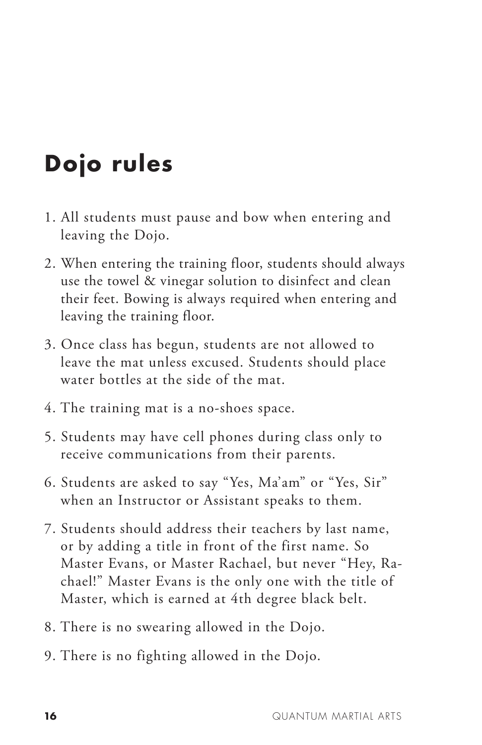# **Dojo rules**

- 1. All students must pause and bow when entering and leaving the Dojo.
- 2. When entering the training floor, students should always use the towel & vinegar solution to disinfect and clean their feet. Bowing is always required when entering and leaving the training floor.
- 3. Once class has begun, students are not allowed to leave the mat unless excused. Students should place water bottles at the side of the mat.
- 4. The training mat is a no-shoes space.
- 5. Students may have cell phones during class only to receive communications from their parents.
- 6. Students are asked to say "Yes, Ma'am" or "Yes, Sir" when an Instructor or Assistant speaks to them.
- 7. Students should address their teachers by last name, or by adding a title in front of the first name. So Master Evans, or Master Rachael, but never "Hey, Rachael!" Master Evans is the only one with the title of Master, which is earned at 4th degree black belt.
- 8. There is no swearing allowed in the Dojo.
- 9. There is no fighting allowed in the Dojo.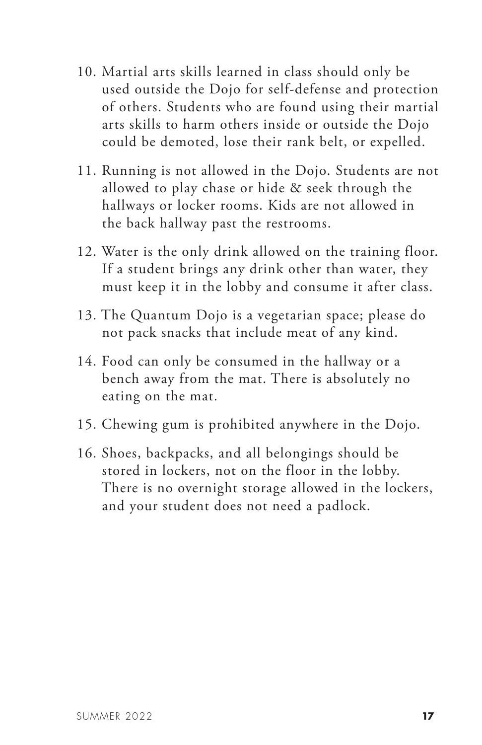- 10. Martial arts skills learned in class should only be used outside the Dojo for self-defense and protection of others. Students who are found using their martial arts skills to harm others inside or outside the Dojo could be demoted, lose their rank belt, or expelled.
- 11. Running is not allowed in the Dojo. Students are not allowed to play chase or hide & seek through the hallways or locker rooms. Kids are not allowed in the back hallway past the restrooms.
- 12. Water is the only drink allowed on the training floor. If a student brings any drink other than water, they must keep it in the lobby and consume it after class.
- 13. The Quantum Dojo is a vegetarian space; please do not pack snacks that include meat of any kind.
- 14. Food can only be consumed in the hallway or a bench away from the mat. There is absolutely no eating on the mat.
- 15. Chewing gum is prohibited anywhere in the Dojo.
- 16. Shoes, backpacks, and all belongings should be stored in lockers, not on the floor in the lobby. There is no overnight storage allowed in the lockers, and your student does not need a padlock.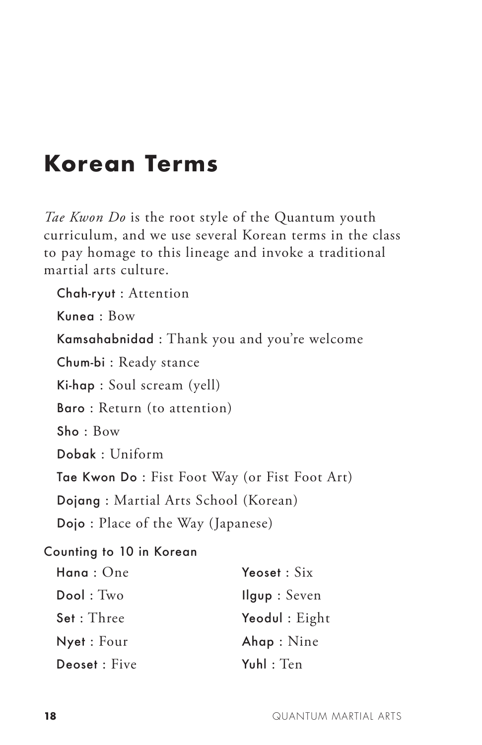### **Korean Terms**

*Tae Kwon Do* is the root style of the Quantum youth curriculum, and we use several Korean terms in the class to pay homage to this lineage and invoke a traditional martial arts culture.

Chah-ryut : Attention Kunea : Bow Kamsahabnidad : Thank you and you're welcome Chum-bi : Ready stance Ki-hap : Soul scream (yell) Baro : Return (to attention) Sho : Bow Dobak : Uniform Tae Kwon Do : Fist Foot Way (or Fist Foot Art) Dojang : Martial Arts School (Korean) Dojo : Place of the Way (Japanese) Counting to 10 in Korean Hana : One Dool : Two Set : Three Nyet : Four Deoset : Five Yeoset : Six Ilgup : Seven Yeodul : Eight Ahap : Nine Yuhl : Ten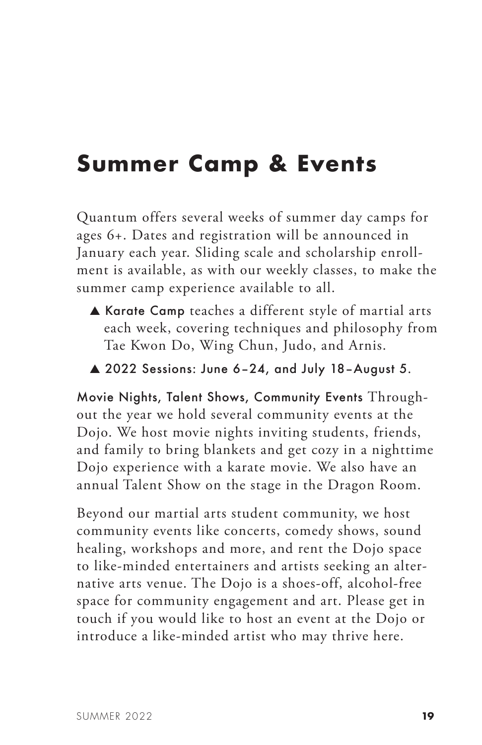## **Summer Camp & Events**

Quantum offers several weeks of summer day camps for ages 6+. Dates and registration will be announced in January each year. Sliding scale and scholarship enrollment is available, as with our weekly classes, to make the summer camp experience available to all.

- ▲ Karate Camp teaches a different style of martial arts each week, covering techniques and philosophy from Tae Kwon Do, Wing Chun, Judo, and Arnis.
- ▲ 2022 Sessions: June 6–24, and July 18–August 5.

Movie Nights, Talent Shows, Community Events Throughout the year we hold several community events at the Dojo. We host movie nights inviting students, friends, and family to bring blankets and get cozy in a nighttime Dojo experience with a karate movie. We also have an annual Talent Show on the stage in the Dragon Room.

Beyond our martial arts student community, we host community events like concerts, comedy shows, sound healing, workshops and more, and rent the Dojo space to like-minded entertainers and artists seeking an alternative arts venue. The Dojo is a shoes-off, alcohol-free space for community engagement and art. Please get in touch if you would like to host an event at the Dojo or introduce a like-minded artist who may thrive here.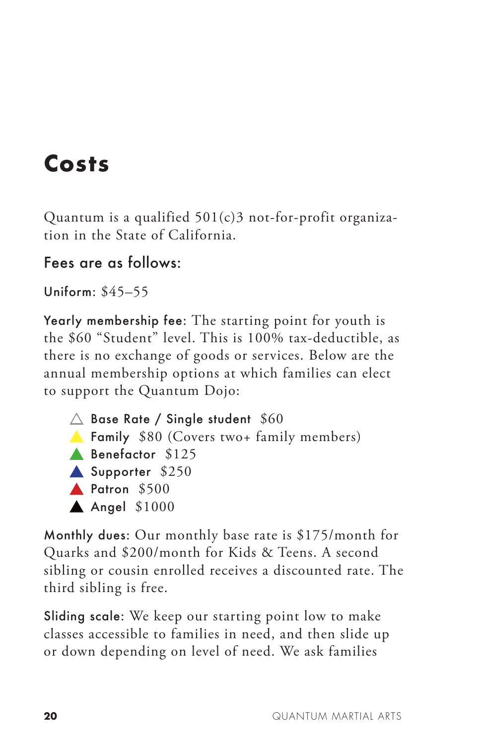# **Costs**

Quantum is a qualified  $501(c)3$  not-for-profit organization in the State of California.

#### Fees are as follows:

Uniform: \$45–55

Yearly membership fee: The starting point for youth is the \$60 "Student" level. This is 100% tax-deductible, as there is no exchange of goods or services. Below are the annual membership options at which families can elect to support the Quantum Dojo:



Monthly dues: Our monthly base rate is \$175/month for Quarks and \$200/month for Kids & Teens. A second sibling or cousin enrolled receives a discounted rate. The third sibling is free.

Sliding scale: We keep our starting point low to make classes accessible to families in need, and then slide up or down depending on level of need. We ask families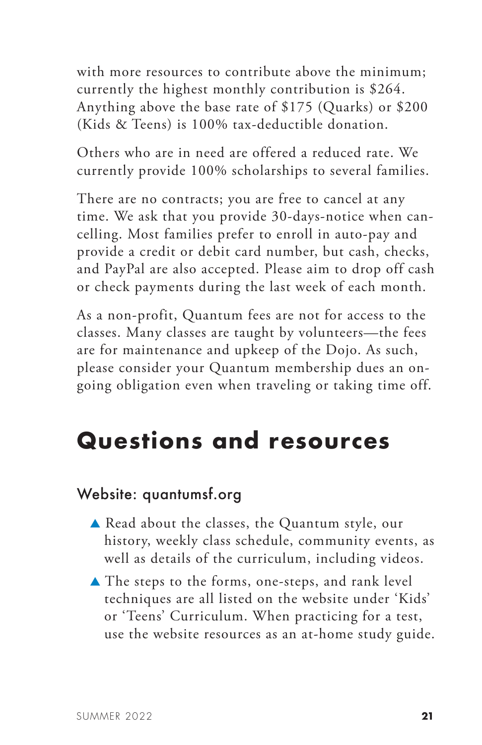with more resources to contribute above the minimum; currently the highest monthly contribution is \$264. Anything above the base rate of \$175 (Quarks) or \$200 (Kids & Teens) is 100% tax-deductible donation.

Others who are in need are offered a reduced rate. We currently provide 100% scholarships to several families.

There are no contracts; you are free to cancel at any time. We ask that you provide 30-days-notice when cancelling. Most families prefer to enroll in auto-pay and provide a credit or debit card number, but cash, checks, and PayPal are also accepted. Please aim to drop off cash or check payments during the last week of each month.

As a non-profit, Quantum fees are not for access to the classes. Many classes are taught by volunteers—the fees are for maintenance and upkeep of the Dojo. As such, please consider your Quantum membership dues an ongoing obligation even when traveling or taking time off.

### **Questions and resources**

#### Website: quantumsf.org

- ▲ Read about the classes, the Quantum style, our history, weekly class schedule, community events, as well as details of the curriculum, including videos.
- ▲ The steps to the forms, one-steps, and rank level techniques are all listed on the website under 'Kids' or 'Teens' Curriculum. When practicing for a test, use the website resources as an at-home study guide.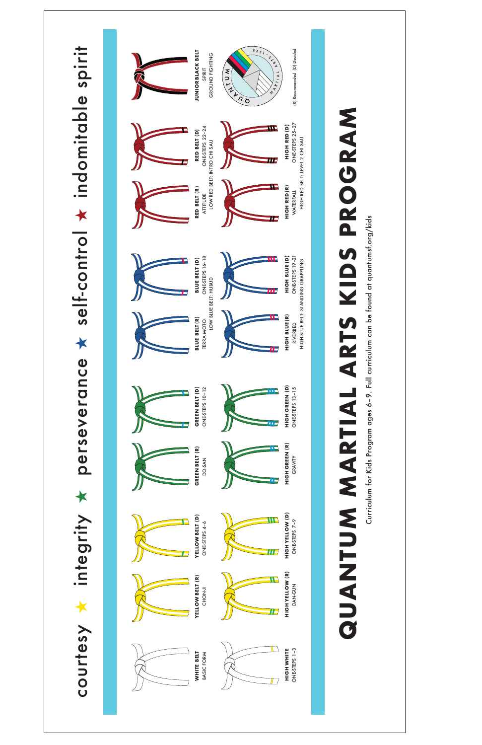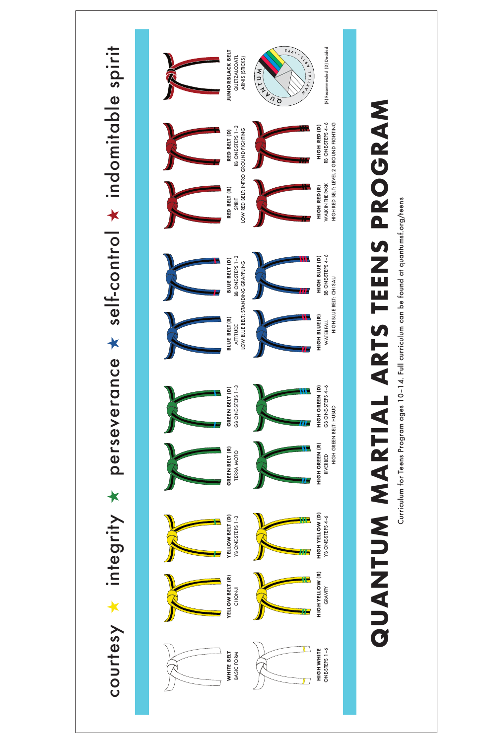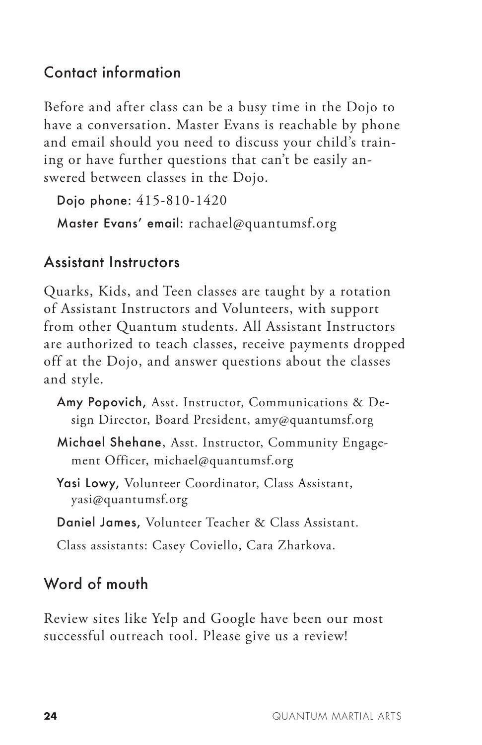#### Contact information

Before and after class can be a busy time in the Dojo to have a conversation. Master Evans is reachable by phone and email should you need to discuss your child's training or have further questions that can't be easily answered between classes in the Dojo.

Dojo phone: 415-810-1420

Master Evans' email: rachael@quantumsf.org

#### Assistant Instructors

Quarks, Kids, and Teen classes are taught by a rotation of Assistant Instructors and Volunteers, with support from other Quantum students. All Assistant Instructors are authorized to teach classes, receive payments dropped off at the Dojo, and answer questions about the classes and style.

- Amy Popovich, Asst. Instructor, Communications & Design Director, Board President, amy@quantumsf.org
- Michael Shehane, Asst. Instructor, Community Engagement Officer, michael@quantumsf.org
- Yasi Lowy, Volunteer Coordinator, Class Assistant, yasi@quantumsf.org
- Daniel James, Volunteer Teacher & Class Assistant.
- Class assistants: Casey Coviello, Cara Zharkova.

#### Word of mouth

Review sites like Yelp and Google have been our most successful outreach tool. Please give us a review!